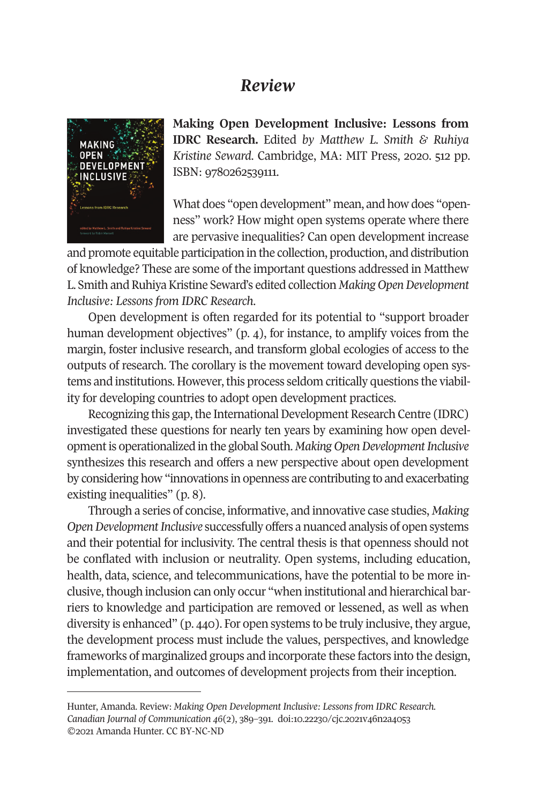## *Review*



**Making Open Development Inclusive: Lessons from IDRC Research.** Edited *by Matthew L. Smith & Ruhiya Kristine Seward*. Cambridge, MA: MIT Press, 2020. 512 pp. ISBN: 9780262539111.

What does "open development" mean, and how does "openness" work? How might open systems operate where there are pervasive inequalities? Can open development increase

and promote equitable participation in the collection, production, and distribution of knowledge? These are some of the important questions addressed in Matthew L. Smith and Ruhiya Kristine Seward's edited collection *Making Open Development Inclusive: Lessons from IDRC Research*.

Open development is often regarded for its potential to "support broader human development objectives" (p. 4), for instance, to amplify voices from the margin, foster inclusive research, and transform global ecologies of access to the outputs of research. The corollary is the movement toward developing open systems and institutions. However, this process seldom critically questions the viability for developing countries to adopt open development practices.

Recognizing this gap, the International Development Research Centre (IDRC) investigated these questions for nearly ten years by examining how open development is operationalized in the global South. *Making Open Development Inclusive* synthesizes this research and offers a new perspective about open development by considering how "innovations in openness are contributing to and exacerbating existing inequalities" (p. 8).

Through a series of concise, informative, and innovative case studies, *Making Open Development Inclusive* successfully offers a nuanced analysis of open systems [and their potential for inclusi](http://www.cjc-online.ca)vity. The centra[l thesis is that openness](http://doi.org/10.22230/cjc.2021v46n2a4053) should not be conflated with inclusion or neutrality. Open systems, including education, health, data, science, and telecommunications, have the potential to be more inclusive, though inclusion can only occur "when institutional and hierarchical barriers to knowledge and participation are removed or lessened, as well as when diversity is enhanced" (p. 440). For open systems to be truly inclusive, they argue, the development process must include the values, perspectives, and knowledge frameworks of marginalized groups and incorporate these factors into the design, implementation, and outcomes of development projects from their inception.

Hunter, Amanda. Review: *Making Open Development Inclusive: Lessons from IDRC Research. Canadian Journal of Communication 46*(2), 389–391. doi:10.22230/cjc.2021v46n2a4053 ©2021 Amanda Hunter. CC BY-NC-ND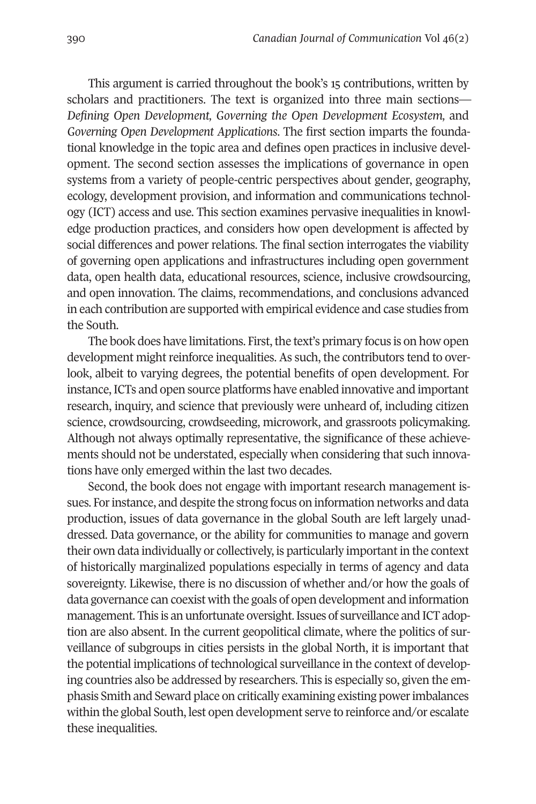390 *Canadian Journal of Communication* Vol 46(2)

This argument is carried throughout the book's 15 contributions, written by scholars and practitioners. The text is organized into three main sections— *Defining Open Development, Governing the Open Development Ecosystem,* and *Governing Open Development Applications*. The first section imparts the foundational knowledge in the topic area and defines open practices in inclusive development. The second section assesses the implications of governance in open systems from a variety of people-centric perspectives about gender, geography, ecology, development provision, and information and communications technology (ICT) access and use. This section examines pervasive inequalities in knowledge production practices, and considers how open development is affected by social differences and power relations. The final section interrogates the viability of governing open applications and infrastructures including open government data, open health data, educational resources, science, inclusive crowdsourcing, and open innovation. The claims, recommendations, and conclusions advanced in each contribution are supported with empirical evidence and case studies from the South.

The book does have limitations. First, the text's primary focus is on how open development might reinforce inequalities. As such, the contributors tend to overlook, albeit to varying degrees, the potential benefits of open development. For instance, ICTs and open source platforms have enabled innovative and important research, inquiry, and science that previously were unheard of, including citizen science, crowdsourcing, crowdseeding, microwork, and grassroots policymaking. Although not always optimally representative, the significance of these achievements should not be understated, especially when considering that such innovations have only emerged within the last two decades.

Second, the book does not engage with important research management issues. For instance, and despite the strong focus on information networks and data production, issues of data governance in the global South are left largely unaddressed. Data governance, or the ability for communities to manage and govern their own data individually or collectively, is particularly important in the context of historically marginalized populations especially in terms of agency and data sovereignty. Likewise, there is no discussion of whether and/or how the goals of data governance can coexist with the goals of open development and information management. This is an unfortunate oversight. Issues of surveillance and ICT adoption are also absent. In the current geopolitical climate, where the politics of surveillance of subgroups in cities persists in the global North, it is important that the potential implications of technological surveillance in the context of developing countries also be addressed by researchers. This is especially so, given the emphasis Smith and Seward place on critically examining existing power imbalances within the global South, lest open development serve to reinforce and/or escalate these inequalities.